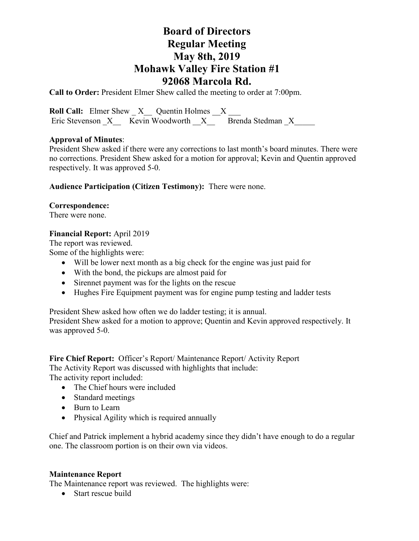# **Board of Directors Regular Meeting May 8th, 2019 Mohawk Valley Fire Station #1 92068 Marcola Rd.**

**Call to Order:** President Elmer Shew called the meeting to order at 7:00pm.

**Roll Call:** Elmer Shew  $X$  Quentin Holmes X Eric Stevenson  $X$  Kevin Woodworth  $X$  Brenda Stedman X

# **Approval of Minutes**:

President Shew asked if there were any corrections to last month's board minutes. There were no corrections. President Shew asked for a motion for approval; Kevin and Quentin approved respectively. It was approved 5-0.

**Audience Participation (Citizen Testimony):** There were none.

# **Correspondence:**

There were none.

# **Financial Report:** April 2019

The report was reviewed. Some of the highlights were:

- Will be lower next month as a big check for the engine was just paid for
- With the bond, the pickups are almost paid for
- Sirennet payment was for the lights on the rescue
- Hughes Fire Equipment payment was for engine pump testing and ladder tests

President Shew asked how often we do ladder testing; it is annual.

President Shew asked for a motion to approve; Quentin and Kevin approved respectively. It was approved 5-0.

### **Fire Chief Report:** Officer's Report/ Maintenance Report/ Activity Report

The Activity Report was discussed with highlights that include:

The activity report included:

- The Chief hours were included
- Standard meetings
- Burn to Learn
- Physical Agility which is required annually

Chief and Patrick implement a hybrid academy since they didn't have enough to do a regular one. The classroom portion is on their own via videos.

### **Maintenance Report**

The Maintenance report was reviewed. The highlights were:

• Start rescue build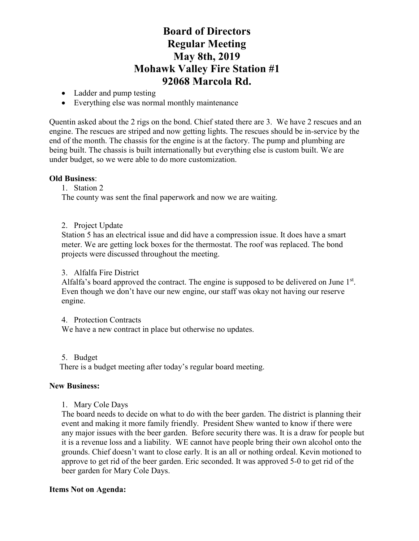# **Board of Directors Regular Meeting May 8th, 2019 Mohawk Valley Fire Station #1 92068 Marcola Rd.**

- Ladder and pump testing
- Everything else was normal monthly maintenance

Quentin asked about the 2 rigs on the bond. Chief stated there are 3. We have 2 rescues and an engine. The rescues are striped and now getting lights. The rescues should be in-service by the end of the month. The chassis for the engine is at the factory. The pump and plumbing are being built. The chassis is built internationally but everything else is custom built. We are under budget, so we were able to do more customization.

### **Old Business**:

1. Station 2

The county was sent the final paperwork and now we are waiting.

2. Project Update

Station 5 has an electrical issue and did have a compression issue. It does have a smart meter. We are getting lock boxes for the thermostat. The roof was replaced. The bond projects were discussed throughout the meeting.

#### 3. Alfalfa Fire District

Alfalfa's board approved the contract. The engine is supposed to be delivered on June  $1<sup>st</sup>$ . Even though we don't have our new engine, our staff was okay not having our reserve engine.

4. Protection Contracts

We have a new contract in place but otherwise no updates.

5. Budget

There is a budget meeting after today's regular board meeting.

#### **New Business:**

1. Mary Cole Days

The board needs to decide on what to do with the beer garden. The district is planning their event and making it more family friendly. President Shew wanted to know if there were any major issues with the beer garden. Before security there was. It is a draw for people but it is a revenue loss and a liability. WE cannot have people bring their own alcohol onto the grounds. Chief doesn't want to close early. It is an all or nothing ordeal. Kevin motioned to approve to get rid of the beer garden. Eric seconded. It was approved 5-0 to get rid of the beer garden for Mary Cole Days.

### **Items Not on Agenda:**